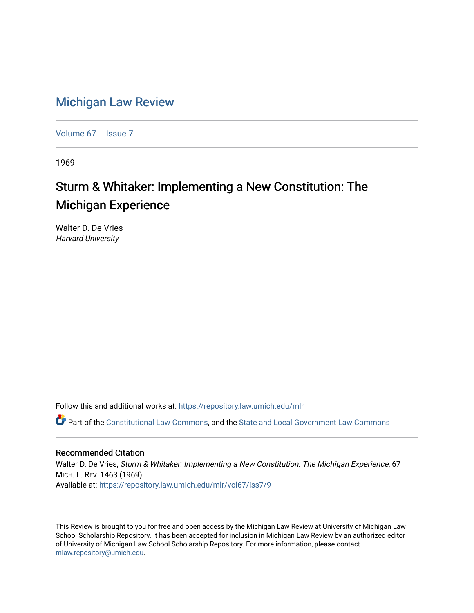## [Michigan Law Review](https://repository.law.umich.edu/mlr)

[Volume 67](https://repository.law.umich.edu/mlr/vol67) | [Issue 7](https://repository.law.umich.edu/mlr/vol67/iss7)

1969

## Sturm & Whitaker: Implementing a New Constitution: The Michigan Experience

Walter D. De Vries Harvard University

Follow this and additional works at: [https://repository.law.umich.edu/mlr](https://repository.law.umich.edu/mlr?utm_source=repository.law.umich.edu%2Fmlr%2Fvol67%2Fiss7%2F9&utm_medium=PDF&utm_campaign=PDFCoverPages) 

Part of the [Constitutional Law Commons,](http://network.bepress.com/hgg/discipline/589?utm_source=repository.law.umich.edu%2Fmlr%2Fvol67%2Fiss7%2F9&utm_medium=PDF&utm_campaign=PDFCoverPages) and the State and Local Government Law Commons

## Recommended Citation

Walter D. De Vries, Sturm & Whitaker: Implementing a New Constitution: The Michigan Experience, 67 MICH. L. REV. 1463 (1969). Available at: [https://repository.law.umich.edu/mlr/vol67/iss7/9](https://repository.law.umich.edu/mlr/vol67/iss7/9?utm_source=repository.law.umich.edu%2Fmlr%2Fvol67%2Fiss7%2F9&utm_medium=PDF&utm_campaign=PDFCoverPages)

This Review is brought to you for free and open access by the Michigan Law Review at University of Michigan Law School Scholarship Repository. It has been accepted for inclusion in Michigan Law Review by an authorized editor of University of Michigan Law School Scholarship Repository. For more information, please contact [mlaw.repository@umich.edu.](mailto:mlaw.repository@umich.edu)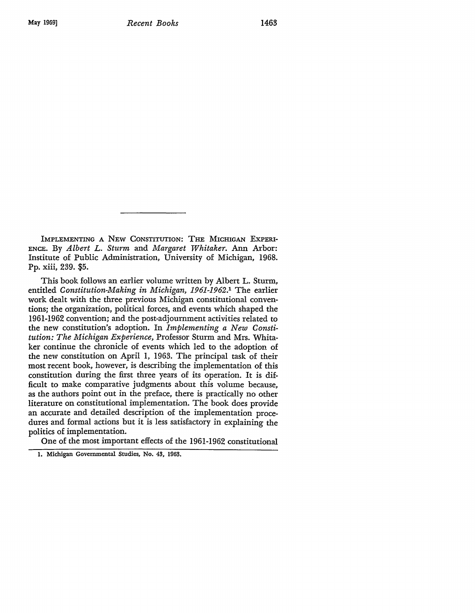IMPLEMENTING A NEW CONSTITUTION: THE MICHIGAN EXPERI-ENCE. By *Albert L. Sturm* and *Margaret Whitaker.* Ann Arbor: Institute of Public Administration, University of Michigan, 1968. Pp. xiii, 239. \$5.

This book follows an earlier volume written by Albert L. Sturm, entitled *Constitution-Making in Michigan, 1961-1962.1* The earlier work dealt with the three previous Michigan constitutional conventions; the organization, political forces, and events which shaped the 1961-1962 convention; and the post-adjournment activities related to the new constitution's adoption. In *Implementing a New Constitution: The Michigan Experience,* Professor Sturm and Mrs. Whitaker continue the chronicle of events which led to the adoption of the new constitution on April 1, 1963. The principal task of their most recent book, however, is describing the implementation of this constitution during the first three years of its operation. It is difficult to make comparative judgments about this volume because, as the authors point out in the preface, there is practically no other literature on constitutional implementation. The book does provide an accurate and detailed description of the implementation procedures and formal actions but it is less satisfactory in explaining the politics of implementation.

One of the most important effects of the 1961-1962 constitutional

I. Michigan Governmental Studies, No. 43, 1963.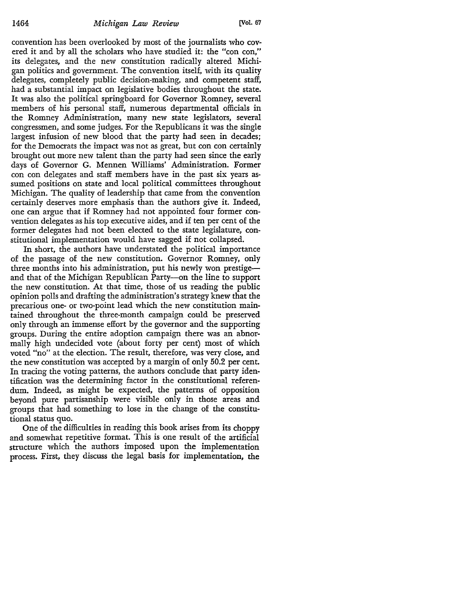convention has been overlooked by most of the journalists who covered it and by all the scholars who have studied it: the "con con," its delegates, and the new constitution radically altered Michigan politics and government. The convention itself, with its quality delegates, completely public decision-making, and competent staff, had a substantial impact on legislative bodies throughout the state. It was also the political springboard for Governor Romney, several members of his personal staff, numerous departmental officials in the Romney Administration, many new state legislators, several congressmen, and some judges. For the Republicans it was the single largest infusion of new blood that the party had seen in decades; for the Democrats the impact was not as great, but con con certainly brought out more new talent than the party had seen since the early days of Governor G. Mennen Williams' Administration. Former con con delegates and staff members have in the past six years assumed positions on state and local political committees throughout Michigan. The quality of leadership that came from the convention certainly deserves more emphasis than the authors give it. Indeed, one can argue that if Romney had not appointed four former convention delegates as his top executive aides, and if ten per cent of the former delegates had not been elected to the state legislature, constitutional implementation would have sagged if not collapsed.

In short, the authors have understated the political importance of the passage of the new constitution. Governor Romney, only three months into his administration, put his newly won prestigeand that of the Michigan Republican Party-on the line to support the new constitution. At that time, those of us reading the public opinion polls and drafting the administration's strategy knew that the precarious one- or two-point lead which the new constitution maintained throughout the three-month campaign could be preserved only through an immense effort by the governor and the supporting groups. During the entire adoption campaign there was an abnormally high undecided vote (about forty per cent) most of which voted "no" at the election. The result, therefore, was very close, and the new constitution was accepted by a margin of only 50.2 per cent. In tracing the voting patterns, the authors conclude that party identification was the determining factor in the constitutional referendum. Indeed, as might be expected, the patterns of opposition beyond pure partisanship were visible only in those areas and groups that had something to lose in the change of the constitutional status quo.

One of the difficulties in reading this book arises from its choppy and somewhat repetitive format. This is one result of the artificial structure which the authors imposed upon the implementation process. First, they discuss the legal basis for implementation, the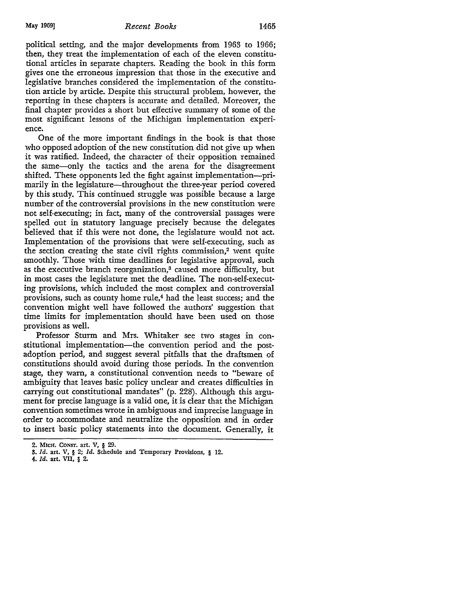## May 1969] *Recent Books* 1465

political setting, and the major developments from 1963 to 1966; then, they treat the implementation of each of the eleven constitutional articles in separate chapters. Reading the book in this form gives one the erroneous impression that those in the executive and legislative branches considered the implementation of the constitution article by article. Despite this structural problem, however, the reporting in these chapters is accurate and detailed. Moreover, the final chapter provides a short but effective summary of some of the most significant lessons of the Michigan implementation experience.

One of the more important findings in the book is that those who opposed adoption of the new constitution did not give up when it was ratified. Indeed, the character of their opposition remained the same-only the tactics and the arena for the disagreement shifted. These opponents led the fight against implementation—primarily in the legislature—throughout the three-year period covered by this study. This continued struggle was possible because a large number of the controversial provisions in the new constitution were not self-executing; in fact, many of the controversial passages were spelled out in statutory language precisely because the delegates believed that if this were not done, the legislature would not act. Implementation of the provisions that were self-executing, such as the section creating the state civil rights commission, $2$  went quite smoothly. Those with time deadlines for legislative approval, such as the executive branch reorganization,<sup>3</sup> caused more difficulty, but in most cases the legislature met the deadline. The non-self-executing provisions, which included the most complex and controversial provisions, such as county home rule,<sup>4</sup> had the least success; and the convention might well have followed the authors' suggestion that time limits for implementation should have been used on those provisions as well.

Professor Sturm and Mrs. Whitaker see two stages in constitutional implementation-the convention period and the postadoption period, and suggest several pitfalls that the draftsmen of constitutions should avoid during those periods. In the convention stage, they warn, a constitutional convention needs to "beware of ambiguity that leaves basic policy unclear and creates difficulties in carrying out constitutional mandates" (p. 228). Although this argument for precise language is a valid one, it is clear that the Michigan convention sometimes ·wrote in ambiguous and imprecise language in order to accommodate and neutralize the opposition and in order to insert basic policy statements into the document. Generally, it

**4.** *Id,* art. VII, § 2.

<sup>2.</sup> MlcH. CoNsr. art. V, § 29.

<sup>!</sup>I. *Id.* art. V, § 2; *Id.* Schedule and Temporary Provisions, § 12.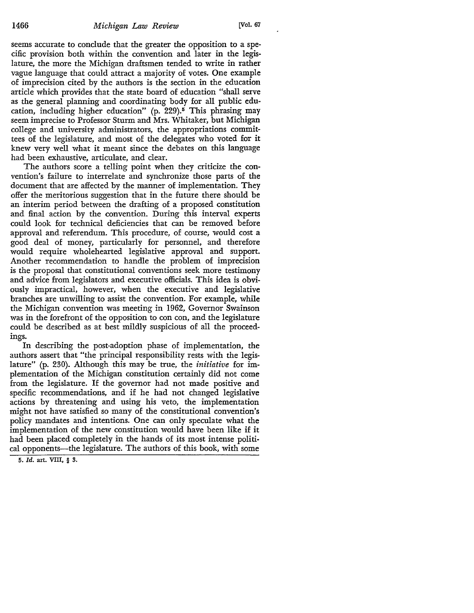seems accurate to conclude that the greater the opposition to a specific provision both within the convention and later in the legislature, the more the Michigan draftsmen tended to write in rather vague language that could attract a majority of votes. One example of imprecision cited by the authors is the section in the education article which provides that the state board of education "shall serve as the general planning and coordinating body for all public education, including higher education" (p. 229).<sup>5</sup> This phrasing may seem imprecise to Professor Sturm and Mrs. Whitaker, but Michigan college and university administrators, the appropriations committees of the legislature, and most of the delegates who voted for it knew very well what it meant since the debates on this language had been exhaustive, articulate, and clear.

The authors score a telling point when they criticize the convention's failure to interrelate and synchronize those parts of the document that are affected by the manner of implementation. They offer the meritorious suggestion that in the future there should be an interim period between the drafting of a proposed constitution and final action by the convention. During this interval experts could look for technical deficiencies that can be removed before approval and referendum. This procedure, of course, would cost a good deal of money, particularly for personnel, and therefore would require wholehearted legislative approval and support. Another recommendation to handle the problem of imprecision is the proposal that constitutional conventions seek more testimony and advice from legislators and executive officials. This idea is obviously impractical, however, when the executive and legislative branches are unwilling to assist the convention. For example, while the Michigan convention was meeting in 1962, Governor Swainson was in the forefront of the opposition to con con, and the legislature could be described as at best mildly suspicious of all the proceedings.

In describing the post-adoption phase of implementation, the authors assert that "the principal responsibility rests with the legislature" (p. 230). Although this may be true, the *initiative* for implementation of the Michigan constitution certainly did not come from the legislature. If the governor had not made positive and specific recommendations, and if he had not changed legislative actions by threatening and using his veto, the implementation might not have satisfied so many of the constitutional convention's policy mandates and intentions. One can only speculate what the implementation of the new constitution would have been like if it had been placed completely in the hands of its most intense political opponents—the legislature. The authors of this book, with some

<sup>5.</sup> *Id.* art. VIII, § 3.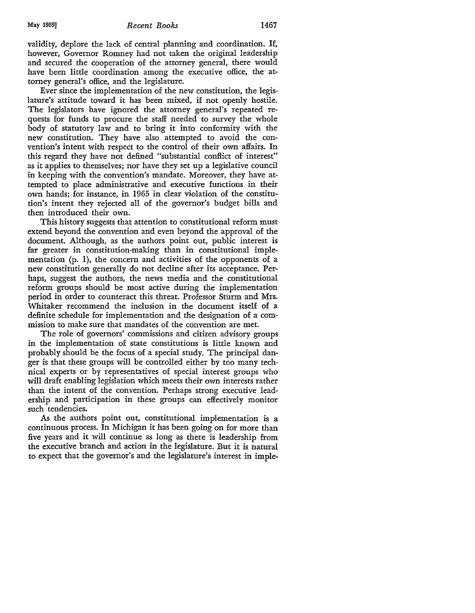validity, deplore the lack of central planning and coordination. If, however, Governor Romney had not taken the original leadership and secured the cooperation of the attorney general, there would have been little coordination among the executive office, the attorney general's office, and the legislature.

Ever since the implementation of the new constitution, the legislature's attitude toward it has been mixed, if not openly hostile. The legislators have ignored the attorney general's repeated requests for funds to procure the staff needed to survey the whole body of statutory law and to bring it into conformity with the new constitution. They have also attempted to avoid the convention's intent with respect to the control of their own affairs. In this regard they have not defined "substantial conflict of interest" as it applies to themselves; nor have they set up a legislative council in keeping with the convention's mandate. Moreover, they have attempted to place administrative and executive functions in their own hands; for instance, in 1965 in clear violation of the constitution's intent they rejected all of the governor's budget bills and then introduced their own.

This history suggests that attention to constitutional reform must extend beyond the convention and even beyond the approval of the document. Although, as the authors point out, public interest is far greater in constitution-making than in constitutional implementation  $(p, 1)$ , the concern and activities of the opponents of a new constitution generally do not decline after its acceptance. Perhaps, suggest the authors, the news media and the constitutional reform groups should be most active during the implementation period in order to counteract this threat. Professor Sturm and Mrs. Whitaker recommend the inclusion in the document itself of a definite schedule for implementation and the designation of a commission to make sure that mandates of the convention are met.

The role of governors' commissions and citizen advisory groups in the implementation of state constitutions is little known and probably should be the focus of a special study. The principal danger is that these groups will be controlled either by too many technical experts or by representatives of special interest groups who will draft enabling legislation which meets their own interests rather than the intent of the convention. Perhaps strong executive leadership and participation in these groups can effectively monitor such tendencies.

As the authors point out, constitutional implementation is a continuous process. In Michigan it has been going on for more than five years and it will continue as long as there is leadership from the executive branch and action in the legislature. But it is natural to expect that the governor's and the legislature's interest in imple-